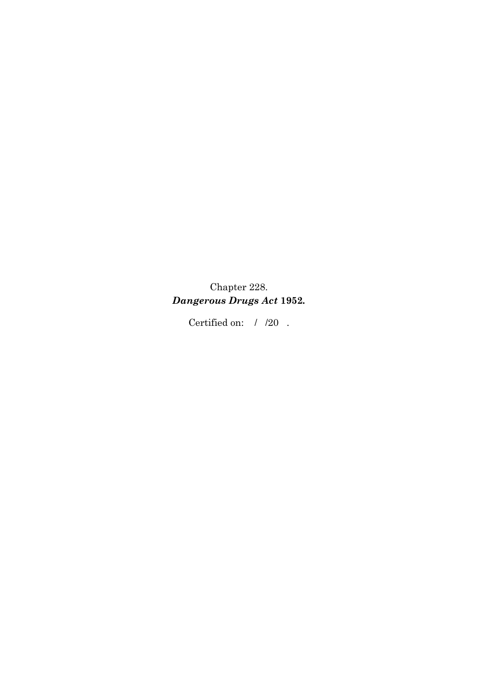Chapter 228. *Dangerous Drugs Act* **1952***.* 

Certified on:  $\;$  /  $\;$  /20  $\;$  .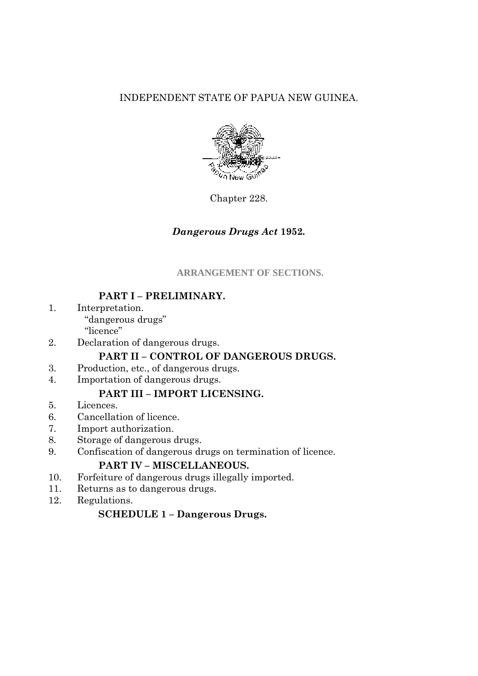# INDEPENDENT STATE OF PAPUA NEW GUINEA.



Chapter 228.

## *Dangerous Drugs Act* **1952***.*

### **ARRANGEMENT OF SECTIONS.**

# **PART I – PRELIMINARY.**

- 1. Interpretation. "dangerous drugs" "licence"
- 2. Declaration of dangerous drugs.

## **PART II – CONTROL OF DANGEROUS DRUGS.**

- 3. Production, etc., of dangerous drugs.
- 4. Importation of dangerous drugs.

## **PART III – IMPORT LICENSING.**

- 5. Licences.
- 6. Cancellation of licence.
- 7. Import authorization.
- 8. Storage of dangerous drugs.
- 9. Confiscation of dangerous drugs on termination of licence.

## **PART IV – MISCELLANEOUS.**

- 10. Forfeiture of dangerous drugs illegally imported.
- 11. Returns as to dangerous drugs.
- 12. Regulations.

## **SCHEDULE 1 – Dangerous Drugs.**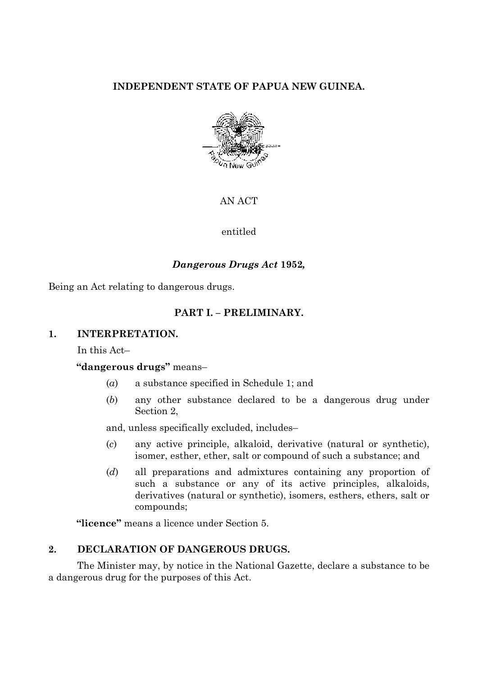# **INDEPENDENT STATE OF PAPUA NEW GUINEA.**



AN ACT

entitled

### *Dangerous Drugs Act* **1952***,*

Being an Act relating to dangerous drugs.

### **PART I. – PRELIMINARY.**

#### **1. INTERPRETATION.**

In this Act–

### **"dangerous drugs"** means–

- (*a*) a substance specified in Schedule 1; and
- (*b*) any other substance declared to be a dangerous drug under Section 2,

and, unless specifically excluded, includes–

- (*c*) any active principle, alkaloid, derivative (natural or synthetic), isomer, esther, ether, salt or compound of such a substance; and
- (*d*) all preparations and admixtures containing any proportion of such a substance or any of its active principles, alkaloids, derivatives (natural or synthetic), isomers, esthers, ethers, salt or compounds;

**"licence"** means a licence under Section 5.

### **2. DECLARATION OF DANGEROUS DRUGS.**

The Minister may, by notice in the National Gazette, declare a substance to be a dangerous drug for the purposes of this Act.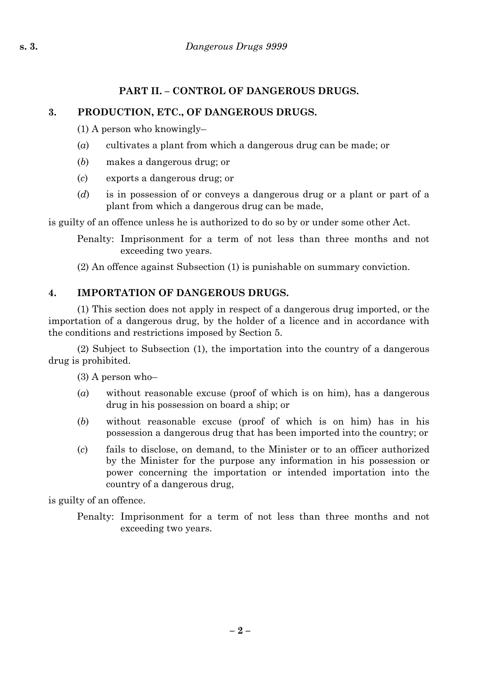# **3. PRODUCTION, ETC., OF DANGEROUS DRUGS.**

(1) A person who knowingly–

- (*a*) cultivates a plant from which a dangerous drug can be made; or
- (*b*) makes a dangerous drug; or
- (*c*) exports a dangerous drug; or
- (*d*) is in possession of or conveys a dangerous drug or a plant or part of a plant from which a dangerous drug can be made,

is guilty of an offence unless he is authorized to do so by or under some other Act.

Penalty: Imprisonment for a term of not less than three months and not exceeding two years.

(2) An offence against Subsection (1) is punishable on summary conviction.

# **4. IMPORTATION OF DANGEROUS DRUGS.**

(1) This section does not apply in respect of a dangerous drug imported, or the importation of a dangerous drug, by the holder of a licence and in accordance with the conditions and restrictions imposed by Section 5.

(2) Subject to Subsection (1), the importation into the country of a dangerous drug is prohibited.

(3) A person who–

- (*a*) without reasonable excuse (proof of which is on him), has a dangerous drug in his possession on board a ship; or
- (*b*) without reasonable excuse (proof of which is on him) has in his possession a dangerous drug that has been imported into the country; or
- (*c*) fails to disclose, on demand, to the Minister or to an officer authorized by the Minister for the purpose any information in his possession or power concerning the importation or intended importation into the country of a dangerous drug,

is guilty of an offence.

Penalty: Imprisonment for a term of not less than three months and not exceeding two years.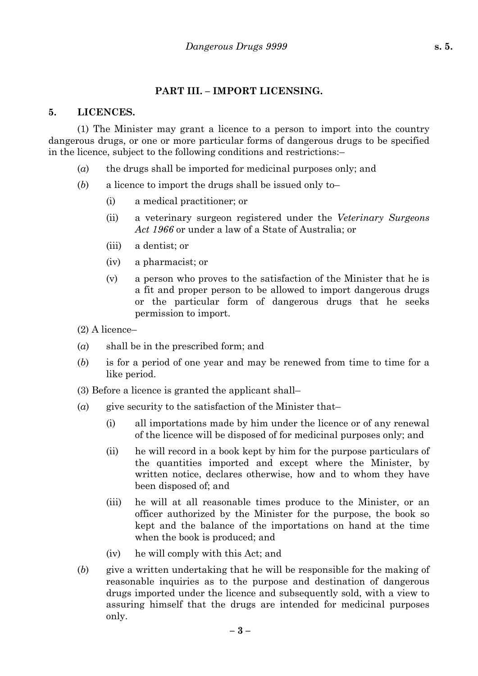### **PART III. – IMPORT LICENSING.**

#### **5. LICENCES.**

(1) The Minister may grant a licence to a person to import into the country dangerous drugs, or one or more particular forms of dangerous drugs to be specified in the licence, subject to the following conditions and restrictions:–

- (*a*) the drugs shall be imported for medicinal purposes only; and
- (*b*) a licence to import the drugs shall be issued only to–
	- (i) a medical practitioner; or
	- (ii) a veterinary surgeon registered under the *Veterinary Surgeons Act 1966* or under a law of a State of Australia; or
	- (iii) a dentist; or
	- (iv) a pharmacist; or
	- (v) a person who proves to the satisfaction of the Minister that he is a fit and proper person to be allowed to import dangerous drugs or the particular form of dangerous drugs that he seeks permission to import.
- (2) A licence–
- (*a*) shall be in the prescribed form; and
- (*b*) is for a period of one year and may be renewed from time to time for a like period.
- (3) Before a licence is granted the applicant shall–
- (*a*) give security to the satisfaction of the Minister that–
	- (i) all importations made by him under the licence or of any renewal of the licence will be disposed of for medicinal purposes only; and
	- (ii) he will record in a book kept by him for the purpose particulars of the quantities imported and except where the Minister, by written notice, declares otherwise, how and to whom they have been disposed of; and
	- (iii) he will at all reasonable times produce to the Minister, or an officer authorized by the Minister for the purpose, the book so kept and the balance of the importations on hand at the time when the book is produced; and
	- (iv) he will comply with this Act; and
- (*b*) give a written undertaking that he will be responsible for the making of reasonable inquiries as to the purpose and destination of dangerous drugs imported under the licence and subsequently sold, with a view to assuring himself that the drugs are intended for medicinal purposes only.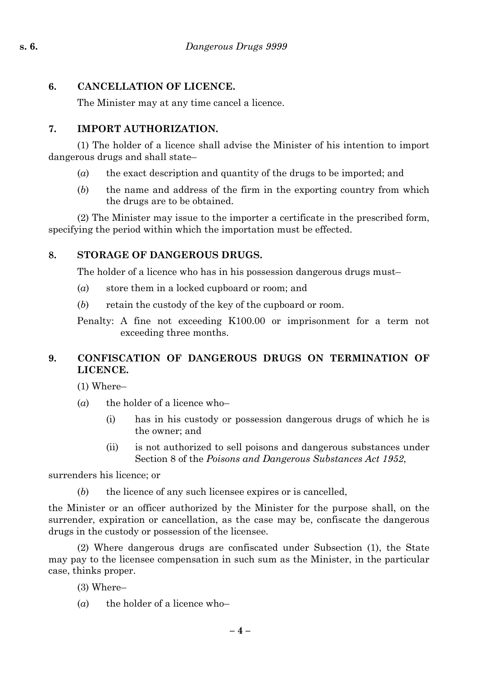# **6. CANCELLATION OF LICENCE.**

The Minister may at any time cancel a licence.

# **7. IMPORT AUTHORIZATION.**

(1) The holder of a licence shall advise the Minister of his intention to import dangerous drugs and shall state–

- (*a*) the exact description and quantity of the drugs to be imported; and
- (*b*) the name and address of the firm in the exporting country from which the drugs are to be obtained.

(2) The Minister may issue to the importer a certificate in the prescribed form, specifying the period within which the importation must be effected.

# **8. STORAGE OF DANGEROUS DRUGS.**

The holder of a licence who has in his possession dangerous drugs must–

- (*a*) store them in a locked cupboard or room; and
- (*b*) retain the custody of the key of the cupboard or room.

Penalty: A fine not exceeding K100.00 or imprisonment for a term not exceeding three months.

# **9. CONFISCATION OF DANGEROUS DRUGS ON TERMINATION OF LICENCE.**

(1) Where–

- $(a)$  the holder of a licence who–
	- (i) has in his custody or possession dangerous drugs of which he is the owner; and
	- (ii) is not authorized to sell poisons and dangerous substances under Section 8 of the *Poisons and Dangerous Substances Act 1952*,

surrenders his licence; or

(*b*) the licence of any such licensee expires or is cancelled,

the Minister or an officer authorized by the Minister for the purpose shall, on the surrender, expiration or cancellation, as the case may be, confiscate the dangerous drugs in the custody or possession of the licensee.

(2) Where dangerous drugs are confiscated under Subsection (1), the State may pay to the licensee compensation in such sum as the Minister, in the particular case, thinks proper.

- (3) Where–
- $(a)$  the holder of a licence who–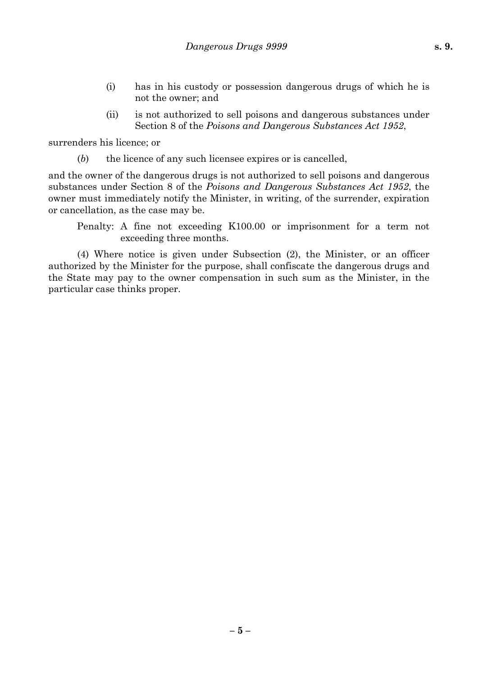- (i) has in his custody or possession dangerous drugs of which he is not the owner; and
- (ii) is not authorized to sell poisons and dangerous substances under Section 8 of the *Poisons and Dangerous Substances Act 1952*,

surrenders his licence; or

(*b*) the licence of any such licensee expires or is cancelled,

and the owner of the dangerous drugs is not authorized to sell poisons and dangerous substances under Section 8 of the *Poisons and Dangerous Substances Act 1952*, the owner must immediately notify the Minister, in writing, of the surrender, expiration or cancellation, as the case may be.

Penalty: A fine not exceeding K100.00 or imprisonment for a term not exceeding three months.

(4) Where notice is given under Subsection (2), the Minister, or an officer authorized by the Minister for the purpose, shall confiscate the dangerous drugs and the State may pay to the owner compensation in such sum as the Minister, in the particular case thinks proper.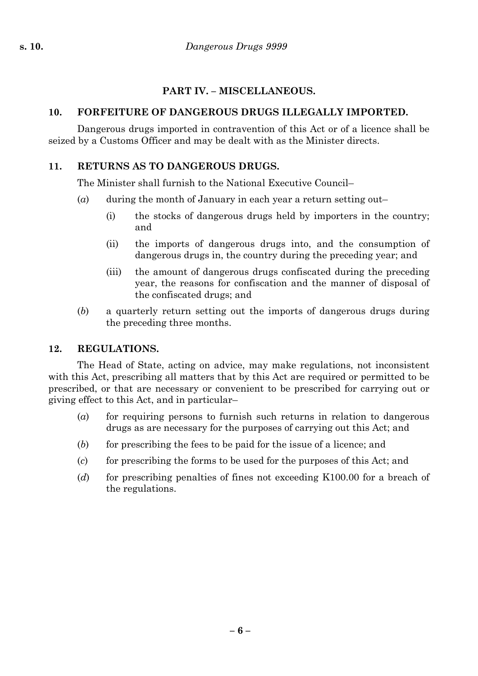# **PART IV. – MISCELLANEOUS.**

# **10. FORFEITURE OF DANGEROUS DRUGS ILLEGALLY IMPORTED.**

Dangerous drugs imported in contravention of this Act or of a licence shall be seized by a Customs Officer and may be dealt with as the Minister directs.

# **11. RETURNS AS TO DANGEROUS DRUGS.**

The Minister shall furnish to the National Executive Council–

- (*a*) during the month of January in each year a return setting out–
	- (i) the stocks of dangerous drugs held by importers in the country; and
	- (ii) the imports of dangerous drugs into, and the consumption of dangerous drugs in, the country during the preceding year; and
	- (iii) the amount of dangerous drugs confiscated during the preceding year, the reasons for confiscation and the manner of disposal of the confiscated drugs; and
- (*b*) a quarterly return setting out the imports of dangerous drugs during the preceding three months.

## **12. REGULATIONS.**

The Head of State, acting on advice, may make regulations, not inconsistent with this Act, prescribing all matters that by this Act are required or permitted to be prescribed, or that are necessary or convenient to be prescribed for carrying out or giving effect to this Act, and in particular–

- (*a*) for requiring persons to furnish such returns in relation to dangerous drugs as are necessary for the purposes of carrying out this Act; and
- (*b*) for prescribing the fees to be paid for the issue of a licence; and
- (*c*) for prescribing the forms to be used for the purposes of this Act; and
- (*d*) for prescribing penalties of fines not exceeding K100.00 for a breach of the regulations.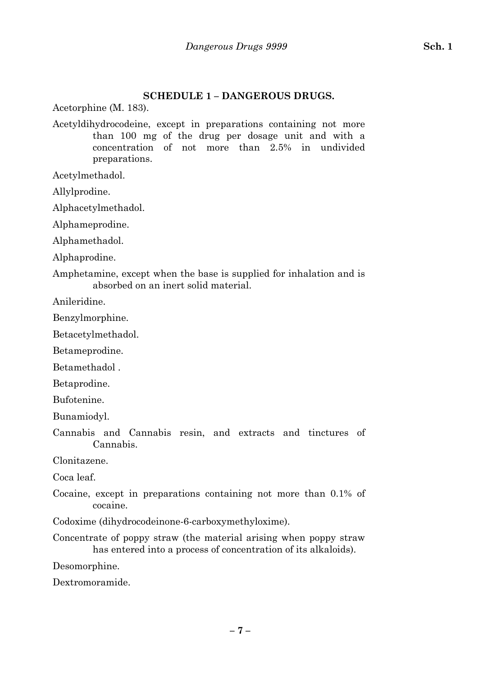# **SCHEDULE 1 – DANGEROUS DRUGS.**

Acetorphine (M. 183).

Acetyldihydrocodeine, except in preparations containing not more than 100 mg of the drug per dosage unit and with a concentration of not more than 2.5% in undivided preparations.

Acetylmethadol.

Allylprodine.

Alphacetylmethadol.

Alphameprodine.

Alphamethadol.

Alphaprodine.

Amphetamine, except when the base is supplied for inhalation and is absorbed on an inert solid material.

Anileridine.

Benzylmorphine.

Betacetylmethadol.

Betameprodine.

Betamethadol .

Betaprodine.

Bufotenine.

Bunamiodyl.

Cannabis and Cannabis resin, and extracts and tinctures of Cannabis.

Clonitazene.

Coca leaf.

Cocaine, except in preparations containing not more than 0.1% of cocaine.

Codoxime (dihydrocodeinone-6-carboxymethyloxime).

Concentrate of poppy straw (the material arising when poppy straw has entered into a process of concentration of its alkaloids).

Desomorphine.

Dextromoramide.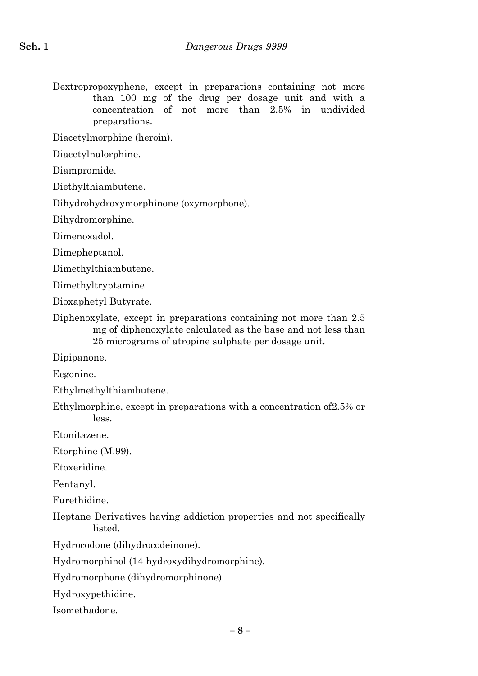Dextropropoxyphene, except in preparations containing not more than 100 mg of the drug per dosage unit and with a concentration of not more than 2.5% in undivided preparations.

Diacetylmorphine (heroin).

Diacetylnalorphine.

Diampromide.

Diethylthiambutene.

Dihydrohydroxymorphinone (oxymorphone).

Dihydromorphine.

Dimenoxadol.

Dimepheptanol.

Dimethylthiambutene.

Dimethyltryptamine.

Dioxaphetyl Butyrate.

Diphenoxylate, except in preparations containing not more than 2.5 mg of diphenoxylate calculated as the base and not less than 25 micrograms of atropine sulphate per dosage unit.

Dipipanone.

Ecgonine.

Ethylmethylthiambutene.

Ethylmorphine, except in preparations with a concentration of2.5% or less.

Etonitazene.

Etorphine (M.99).

Etoxeridine.

Fentanyl.

Furethidine.

Heptane Derivatives having addiction properties and not specifically listed.

Hydrocodone (dihydrocodeinone).

Hydromorphinol (14-hydroxydihydromorphine).

Hydromorphone (dihydromorphinone).

Hydroxypethidine.

Isomethadone.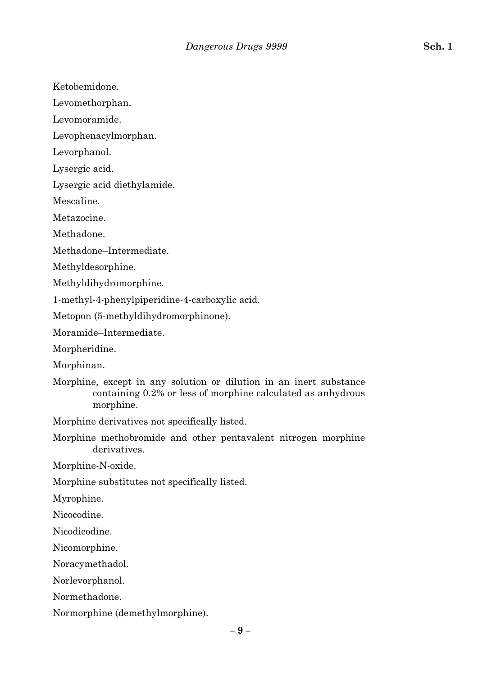Ketobemidone.

Levomethorphan.

Levomoramide.

Levophenacylmorphan.

Levorphanol.

Lysergic acid.

Lysergic acid diethylamide.

Mescaline.

Metazocine.

Methadone.

Methadone–Intermediate.

Methyldesorphine.

Methyldihydromorphine.

1-methyl-4-phenylpiperidine-4-carboxylic acid.

Metopon (5-methyldihydromorphinone).

Moramide–Intermediate.

Morpheridine.

Morphinan.

Morphine, except in any solution or dilution in an inert substance containing 0.2% or less of morphine calculated as anhydrous morphine.

Morphine derivatives not specifically listed.

Morphine methobromide and other pentavalent nitrogen morphine derivatives.

Morphine-N-oxide.

Morphine substitutes not specifically listed.

Myrophine.

Nicocodine.

Nicodicodine.

Nicomorphine.

Noracymethadol.

Norlevorphanol.

Normethadone.

Normorphine (demethylmorphine).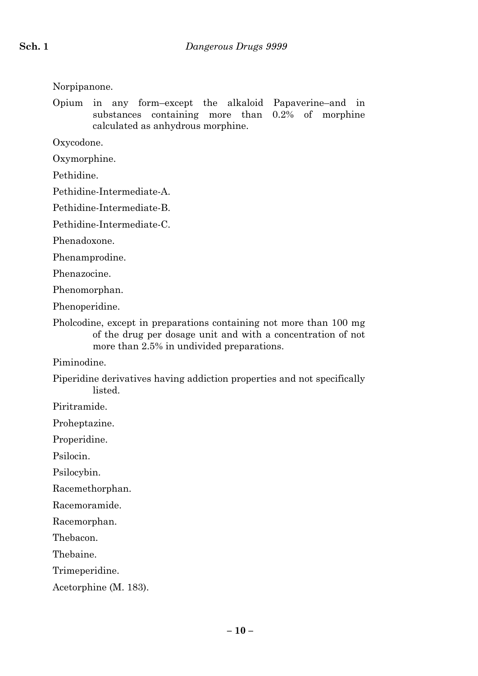Norpipanone.

Opium in any form–except the alkaloid Papaverine–and in substances containing more than 0.2% of morphine calculated as anhydrous morphine.

Oxycodone.

Oxymorphine.

Pethidine.

Pethidine-Intermediate-A.

Pethidine-Intermediate-B.

Pethidine-Intermediate-C.

Phenadoxone.

Phenamprodine.

Phenazocine.

Phenomorphan.

Phenoperidine.

Pholcodine, except in preparations containing not more than 100 mg of the drug per dosage unit and with a concentration of not more than 2.5% in undivided preparations.

Piminodine.

Piperidine derivatives having addiction properties and not specifically **listed** 

Piritramide.

Proheptazine.

Properidine.

Psilocin.

Psilocybin.

Racemethorphan.

Racemoramide.

Racemorphan.

Thebacon.

Thebaine.

Trimeperidine.

Acetorphine (M. 183).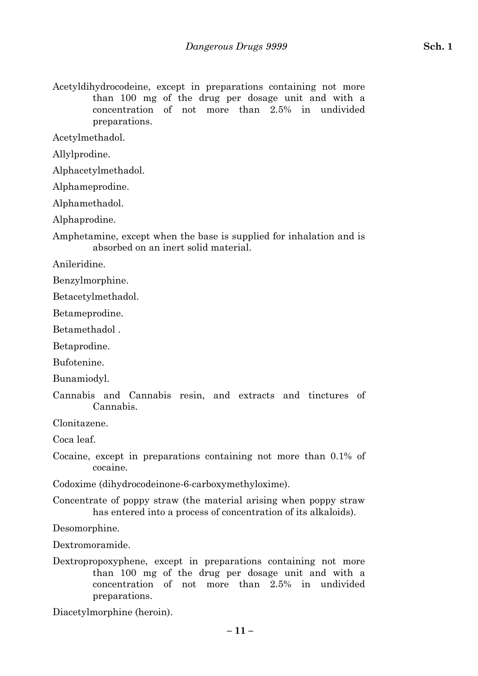Acetyldihydrocodeine, except in preparations containing not more than 100 mg of the drug per dosage unit and with a concentration of not more than 2.5% in undivided preparations.

Acetylmethadol.

Allylprodine.

Alphacetylmethadol.

Alphameprodine.

Alphamethadol.

Alphaprodine.

Amphetamine, except when the base is supplied for inhalation and is absorbed on an inert solid material.

Anileridine.

Benzylmorphine.

Betacetylmethadol.

Betameprodine.

Betamethadol .

Betaprodine.

Bufotenine.

Bunamiodyl.

Cannabis and Cannabis resin, and extracts and tinctures of Cannabis.

Clonitazene.

Coca leaf.

Cocaine, except in preparations containing not more than 0.1% of cocaine.

Codoxime (dihydrocodeinone-6-carboxymethyloxime).

Concentrate of poppy straw (the material arising when poppy straw has entered into a process of concentration of its alkaloids).

Desomorphine.

Dextromoramide.

Dextropropoxyphene, except in preparations containing not more than 100 mg of the drug per dosage unit and with a concentration of not more than 2.5% in undivided preparations.

Diacetylmorphine (heroin).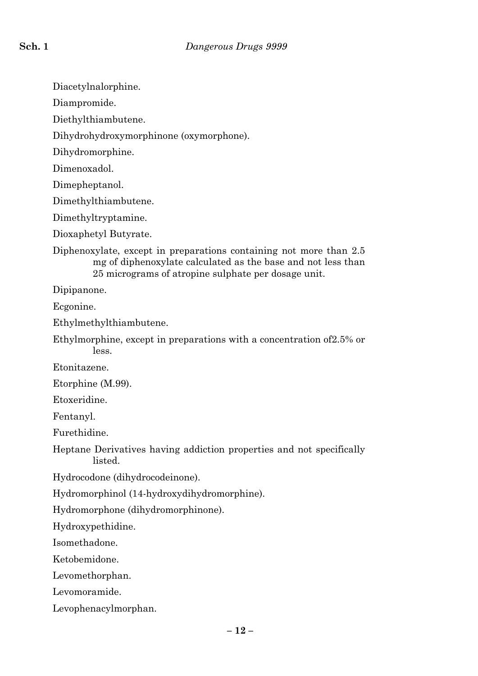Diacetylnalorphine.

Diampromide.

Diethylthiambutene.

Dihydrohydroxymorphinone (oxymorphone).

Dihydromorphine.

Dimenoxadol.

Dimepheptanol.

Dimethylthiambutene.

Dimethyltryptamine.

Dioxaphetyl Butyrate.

Diphenoxylate, except in preparations containing not more than 2.5 mg of diphenoxylate calculated as the base and not less than 25 micrograms of atropine sulphate per dosage unit.

Dipipanone.

Ecgonine.

Ethylmethylthiambutene.

Ethylmorphine, except in preparations with a concentration of2.5% or less.

Etonitazene.

Etorphine (M.99).

Etoxeridine.

Fentanyl.

Furethidine.

Heptane Derivatives having addiction properties and not specifically listed.

Hydrocodone (dihydrocodeinone).

Hydromorphinol (14-hydroxydihydromorphine).

Hydromorphone (dihydromorphinone).

Hydroxypethidine.

Isomethadone.

Ketobemidone.

Levomethorphan.

Levomoramide.

Levophenacylmorphan.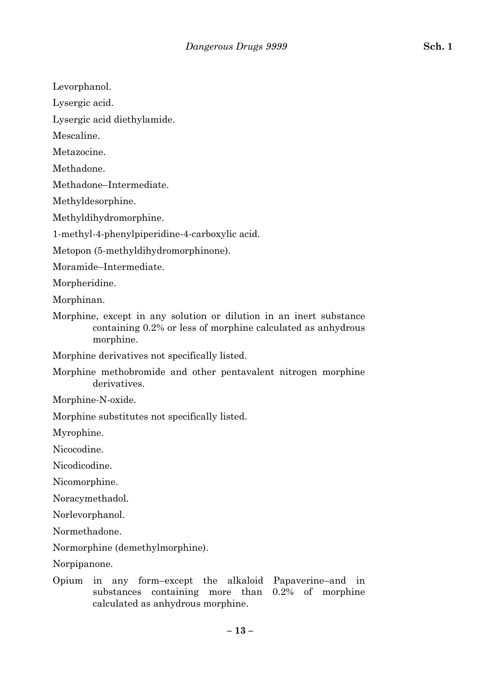Levorphanol.

Lysergic acid.

Lysergic acid diethylamide.

Mescaline.

Metazocine.

Methadone.

Methadone–Intermediate.

Methyldesorphine.

Methyldihydromorphine.

1-methyl-4-phenylpiperidine-4-carboxylic acid.

Metopon (5-methyldihydromorphinone).

Moramide–Intermediate.

Morpheridine.

Morphinan.

Morphine, except in any solution or dilution in an inert substance containing 0.2% or less of morphine calculated as anhydrous morphine.

Morphine derivatives not specifically listed.

Morphine methobromide and other pentavalent nitrogen morphine derivatives.

Morphine-N-oxide.

Morphine substitutes not specifically listed.

Myrophine.

Nicocodine.

Nicodicodine.

Nicomorphine.

Noracymethadol.

Norlevorphanol.

Normethadone.

Normorphine (demethylmorphine).

Norpipanone.

Opium in any form–except the alkaloid Papaverine–and in substances containing more than 0.2% of morphine calculated as anhydrous morphine.